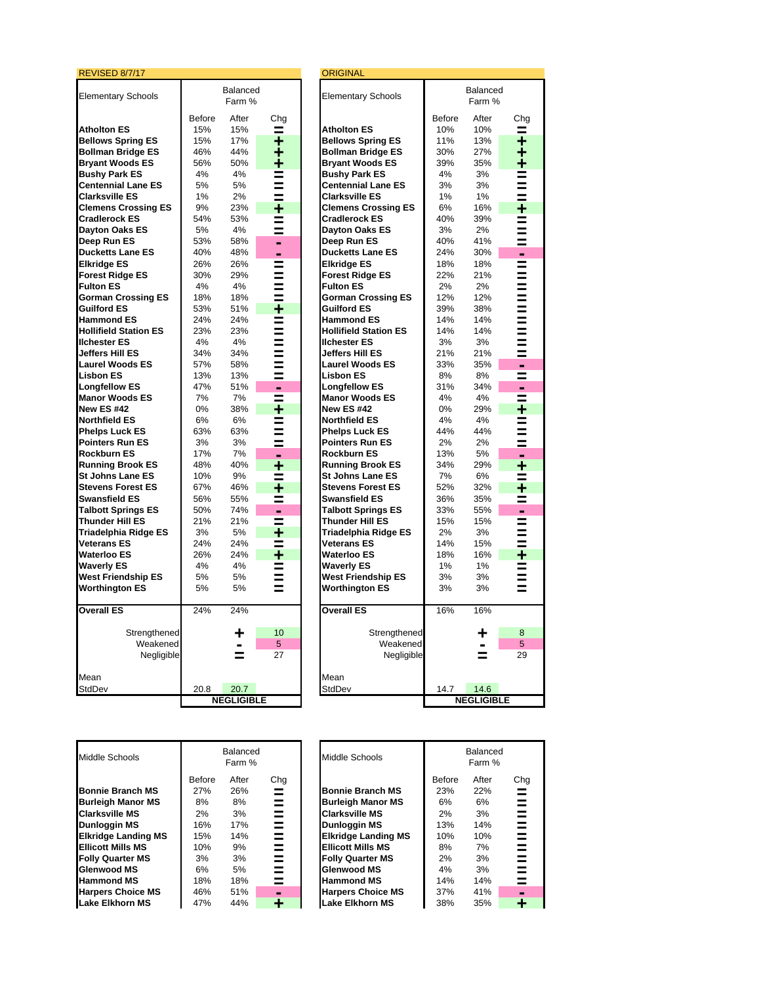| Balanced<br>Balanced<br><b>Elementary Schools</b><br><b>Elementary Schools</b><br>Farm %<br>Farm %<br><b>Before</b><br>After<br>Chg<br><b>Before</b><br>After<br>Ch<br><b>Atholton ES</b><br>10%<br>10%<br><b>Atholton ES</b><br>15%<br>15%<br>$\equiv$<br>$=$<br>15%<br>17%<br>11%<br>13%<br><b>Bellows Spring ES</b><br>٠<br><b>Bellows Spring ES</b><br><b>Bollman Bridge ES</b><br>44%<br>27%<br>46%<br><b>Bollman Bridge ES</b><br>30%<br>٠<br><b>Bryant Woods ES</b><br>56%<br><b>Bryant Woods ES</b><br>50%<br>39%<br>35%<br>٠<br><b>Bushy Park ES</b><br>4%<br>4%<br><b>Bushy Park ES</b><br>4%<br>3%<br>$\equiv$<br><b>Centennial Lane ES</b><br>5%<br>5%<br><b>Centennial Lane ES</b><br>3%<br>3%<br>Ξ<br>1%<br>2%<br><b>Clarksville ES</b><br>1%<br>1%<br><b>Clarksville ES</b><br>Ξ<br>6%<br><b>Clemens Crossing ES</b><br>9%<br>23%<br>٠<br><b>Clemens Crossing ES</b><br>16%<br>54%<br>40%<br>39%<br><b>Cradlerock ES</b><br>53%<br><b>Cradlerock ES</b><br>Ξ<br>Dayton Oaks ES<br>5%<br>4%<br>Dayton Oaks ES<br>3%<br>2%<br>Ξ<br>Deep Run ES<br>53%<br>58%<br>Deep Run ES<br>40%<br>41%<br>۰<br>40%<br>24%<br><b>Ducketts Lane ES</b><br>48%<br><b>Ducketts Lane ES</b><br>30%<br>۰<br>۰<br><b>Elkridge ES</b><br>26%<br>26%<br><b>Elkridge ES</b><br>18%<br>18%<br>Ξ<br><b>Forest Ridge ES</b><br>30%<br>29%<br><b>Forest Ridge ES</b><br>22%<br>21%<br>$=$<br>4%<br>4%<br>2%<br>2%<br><b>Fulton ES</b><br><b>Fulton ES</b><br>$\equiv$<br><b>Gorman Crossing ES</b><br>18%<br>18%<br><b>Gorman Crossing ES</b><br>12%<br>12%<br>Ξ<br><b>Guilford ES</b><br>53%<br>51%<br>÷<br><b>Guilford ES</b><br>39%<br>38%<br><b>Hammond ES</b><br>24%<br><b>Hammond ES</b><br>14%<br>14%<br>24%<br>Ξ<br><b>Hollifield Station ES</b><br>23%<br>23%<br><b>Hollifield Station ES</b><br>14%<br>14%<br>=<br>3%<br><b>Ilchester ES</b><br>4%<br>4%<br><b>Ilchester ES</b><br>3%<br>Ξ<br><b>Jeffers Hill ES</b><br>34%<br>34%<br>21%<br>Jeffers Hill ES<br>21%<br>Ξ<br><b>Laurel Woods ES</b><br>57%<br><b>Laurel Woods ES</b><br>33%<br>35%<br>58%<br>Ξ<br>$\blacksquare$<br><b>Lisbon ES</b><br>13%<br>8%<br>13%<br><b>Lisbon ES</b><br>8%<br>=<br><b>Longfellow ES</b><br>47%<br>51%<br><b>Longfellow ES</b><br>31%<br>34%<br>۰<br>۰<br>7%<br>4%<br>4%<br><b>Manor Woods ES</b><br>7%<br><b>Manor Woods ES</b><br>Ξ<br><b>New ES #42</b><br>0%<br><b>New ES #42</b><br>0%<br>38%<br>٠<br>29%<br>4%<br>4%<br><b>Northfield ES</b><br>6%<br>6%<br><b>Northfield ES</b><br>$=$<br>63%<br>44%<br><b>Phelps Luck ES</b><br>63%<br><b>Phelps Luck ES</b><br>44%<br>$\equiv$<br><b>Pointers Run ES</b><br>3%<br>3%<br><b>Pointers Run ES</b><br>2%<br>2%<br>≡<br><b>Rockburn ES</b><br>17%<br>7%<br><b>Rockburn ES</b><br>13%<br>5%<br>۰<br>۰<br><b>Running Brook ES</b><br>48%<br>40%<br><b>Running Brook ES</b><br>34%<br>٠<br>29%<br>9%<br>7%<br><b>St Johns Lane ES</b><br>10%<br><b>St Johns Lane ES</b><br>6%<br>≡<br>≡<br><b>Stevens Forest ES</b><br>67%<br>46%<br>٠<br><b>Stevens Forest ES</b><br>52%<br>32%<br>56%<br>36%<br><b>Swansfield ES</b><br>55%<br><b>Swansfield ES</b><br>35%<br>Ξ<br><b>Talbott Springs ES</b><br>50%<br>74%<br><b>Talbott Springs ES</b><br>33%<br>55%<br>۰<br>$\blacksquare$<br><b>Thunder Hill ES</b><br>21%<br><b>Thunder Hill ES</b><br>15%<br>21%<br>15%<br>Ξ<br>Triadelphia Ridge ES<br>3%<br>Triadelphia Ridge ES<br>2%<br>3%<br>5%<br>٠<br>=<br><b>Veterans ES</b><br>24%<br>24%<br><b>Veterans ES</b><br>14%<br>15%<br>$=$<br><b>Waterloo ES</b><br>26%<br>24%<br><b>Waterloo ES</b><br>٠<br>18%<br>16%<br>4%<br>4%<br>1%<br>1%<br><b>Waverly ES</b><br><b>Waverly ES</b><br>Ξ<br><b>West Friendship ES</b><br>5%<br>5%<br><b>West Friendship ES</b><br>3%<br>3%<br>Ξ<br><b>Worthington ES</b><br>5%<br><b>Worthington ES</b><br>3%<br>3%<br>5%<br>=<br><b>Overall ES</b><br>24%<br><b>Overall ES</b><br>16%<br>16%<br>24%<br>Strengthened<br>Strengthened<br>10<br>8<br>÷<br>÷<br>Weakened<br>5<br>Weakened<br>5<br>$\blacksquare$<br>$\blacksquare$<br>27<br>Negligible<br>Negligible<br>=<br>=<br>Mean<br>Mean<br>StdDev<br>20.8<br>20.7<br>StdDev<br>14.7<br>14.6<br><b>NEGLIGIBLE</b><br><b>NEGLIGIBLE</b> | REVISED 8/7/17 |  | <b>ORIGINAL</b> |  |  |
|--------------------------------------------------------------------------------------------------------------------------------------------------------------------------------------------------------------------------------------------------------------------------------------------------------------------------------------------------------------------------------------------------------------------------------------------------------------------------------------------------------------------------------------------------------------------------------------------------------------------------------------------------------------------------------------------------------------------------------------------------------------------------------------------------------------------------------------------------------------------------------------------------------------------------------------------------------------------------------------------------------------------------------------------------------------------------------------------------------------------------------------------------------------------------------------------------------------------------------------------------------------------------------------------------------------------------------------------------------------------------------------------------------------------------------------------------------------------------------------------------------------------------------------------------------------------------------------------------------------------------------------------------------------------------------------------------------------------------------------------------------------------------------------------------------------------------------------------------------------------------------------------------------------------------------------------------------------------------------------------------------------------------------------------------------------------------------------------------------------------------------------------------------------------------------------------------------------------------------------------------------------------------------------------------------------------------------------------------------------------------------------------------------------------------------------------------------------------------------------------------------------------------------------------------------------------------------------------------------------------------------------------------------------------------------------------------------------------------------------------------------------------------------------------------------------------------------------------------------------------------------------------------------------------------------------------------------------------------------------------------------------------------------------------------------------------------------------------------------------------------------------------------------------------------------------------------------------------------------------------------------------------------------------------------------------------------------------------------------------------------------------------------------------------------------------------------------------------------------------------------------------------------------------------------------------------------------------------------------------------------------------------------------------------------------------------------------------------------------------------------------------------------------------------------------------------------------------------------------------------------------------------------------------------------------------------------------------------------------------------------------------------------------------------------------------------------------------------------------------------------------------------------------------|----------------|--|-----------------|--|--|
|                                                                                                                                                                                                                                                                                                                                                                                                                                                                                                                                                                                                                                                                                                                                                                                                                                                                                                                                                                                                                                                                                                                                                                                                                                                                                                                                                                                                                                                                                                                                                                                                                                                                                                                                                                                                                                                                                                                                                                                                                                                                                                                                                                                                                                                                                                                                                                                                                                                                                                                                                                                                                                                                                                                                                                                                                                                                                                                                                                                                                                                                                                                                                                                                                                                                                                                                                                                                                                                                                                                                                                                                                                                                                                                                                                                                                                                                                                                                                                                                                                                                                                                                                              |                |  |                 |  |  |
|                                                                                                                                                                                                                                                                                                                                                                                                                                                                                                                                                                                                                                                                                                                                                                                                                                                                                                                                                                                                                                                                                                                                                                                                                                                                                                                                                                                                                                                                                                                                                                                                                                                                                                                                                                                                                                                                                                                                                                                                                                                                                                                                                                                                                                                                                                                                                                                                                                                                                                                                                                                                                                                                                                                                                                                                                                                                                                                                                                                                                                                                                                                                                                                                                                                                                                                                                                                                                                                                                                                                                                                                                                                                                                                                                                                                                                                                                                                                                                                                                                                                                                                                                              |                |  |                 |  |  |
|                                                                                                                                                                                                                                                                                                                                                                                                                                                                                                                                                                                                                                                                                                                                                                                                                                                                                                                                                                                                                                                                                                                                                                                                                                                                                                                                                                                                                                                                                                                                                                                                                                                                                                                                                                                                                                                                                                                                                                                                                                                                                                                                                                                                                                                                                                                                                                                                                                                                                                                                                                                                                                                                                                                                                                                                                                                                                                                                                                                                                                                                                                                                                                                                                                                                                                                                                                                                                                                                                                                                                                                                                                                                                                                                                                                                                                                                                                                                                                                                                                                                                                                                                              |                |  |                 |  |  |
| ٠<br>┿<br>٠<br>$=$<br>≡<br>Ξ<br>٠<br>≡<br>Ξ<br>≡<br>Ξ<br>$\equiv$<br>$\equiv$<br>≡<br>=<br>≡<br>$=$<br>$=$<br>$=$<br>≡<br>Ξ<br>÷<br>$=$<br>≡<br>≡<br>٠<br>٠<br>≡<br>Ξ<br>$=$<br>٠<br>=<br>≡<br>≡<br>29                                                                                                                                                                                                                                                                                                                                                                                                                                                                                                                                                                                                                                                                                                                                                                                                                                                                                                                                                                                                                                                                                                                                                                                                                                                                                                                                                                                                                                                                                                                                                                                                                                                                                                                                                                                                                                                                                                                                                                                                                                                                                                                                                                                                                                                                                                                                                                                                                                                                                                                                                                                                                                                                                                                                                                                                                                                                                                                                                                                                                                                                                                                                                                                                                                                                                                                                                                                                                                                                                                                                                                                                                                                                                                                                                                                                                                                                                                                                                       |                |  |                 |  |  |
|                                                                                                                                                                                                                                                                                                                                                                                                                                                                                                                                                                                                                                                                                                                                                                                                                                                                                                                                                                                                                                                                                                                                                                                                                                                                                                                                                                                                                                                                                                                                                                                                                                                                                                                                                                                                                                                                                                                                                                                                                                                                                                                                                                                                                                                                                                                                                                                                                                                                                                                                                                                                                                                                                                                                                                                                                                                                                                                                                                                                                                                                                                                                                                                                                                                                                                                                                                                                                                                                                                                                                                                                                                                                                                                                                                                                                                                                                                                                                                                                                                                                                                                                                              |                |  |                 |  |  |
|                                                                                                                                                                                                                                                                                                                                                                                                                                                                                                                                                                                                                                                                                                                                                                                                                                                                                                                                                                                                                                                                                                                                                                                                                                                                                                                                                                                                                                                                                                                                                                                                                                                                                                                                                                                                                                                                                                                                                                                                                                                                                                                                                                                                                                                                                                                                                                                                                                                                                                                                                                                                                                                                                                                                                                                                                                                                                                                                                                                                                                                                                                                                                                                                                                                                                                                                                                                                                                                                                                                                                                                                                                                                                                                                                                                                                                                                                                                                                                                                                                                                                                                                                              |                |  |                 |  |  |
|                                                                                                                                                                                                                                                                                                                                                                                                                                                                                                                                                                                                                                                                                                                                                                                                                                                                                                                                                                                                                                                                                                                                                                                                                                                                                                                                                                                                                                                                                                                                                                                                                                                                                                                                                                                                                                                                                                                                                                                                                                                                                                                                                                                                                                                                                                                                                                                                                                                                                                                                                                                                                                                                                                                                                                                                                                                                                                                                                                                                                                                                                                                                                                                                                                                                                                                                                                                                                                                                                                                                                                                                                                                                                                                                                                                                                                                                                                                                                                                                                                                                                                                                                              |                |  |                 |  |  |
|                                                                                                                                                                                                                                                                                                                                                                                                                                                                                                                                                                                                                                                                                                                                                                                                                                                                                                                                                                                                                                                                                                                                                                                                                                                                                                                                                                                                                                                                                                                                                                                                                                                                                                                                                                                                                                                                                                                                                                                                                                                                                                                                                                                                                                                                                                                                                                                                                                                                                                                                                                                                                                                                                                                                                                                                                                                                                                                                                                                                                                                                                                                                                                                                                                                                                                                                                                                                                                                                                                                                                                                                                                                                                                                                                                                                                                                                                                                                                                                                                                                                                                                                                              |                |  |                 |  |  |
|                                                                                                                                                                                                                                                                                                                                                                                                                                                                                                                                                                                                                                                                                                                                                                                                                                                                                                                                                                                                                                                                                                                                                                                                                                                                                                                                                                                                                                                                                                                                                                                                                                                                                                                                                                                                                                                                                                                                                                                                                                                                                                                                                                                                                                                                                                                                                                                                                                                                                                                                                                                                                                                                                                                                                                                                                                                                                                                                                                                                                                                                                                                                                                                                                                                                                                                                                                                                                                                                                                                                                                                                                                                                                                                                                                                                                                                                                                                                                                                                                                                                                                                                                              |                |  |                 |  |  |
|                                                                                                                                                                                                                                                                                                                                                                                                                                                                                                                                                                                                                                                                                                                                                                                                                                                                                                                                                                                                                                                                                                                                                                                                                                                                                                                                                                                                                                                                                                                                                                                                                                                                                                                                                                                                                                                                                                                                                                                                                                                                                                                                                                                                                                                                                                                                                                                                                                                                                                                                                                                                                                                                                                                                                                                                                                                                                                                                                                                                                                                                                                                                                                                                                                                                                                                                                                                                                                                                                                                                                                                                                                                                                                                                                                                                                                                                                                                                                                                                                                                                                                                                                              |                |  |                 |  |  |
|                                                                                                                                                                                                                                                                                                                                                                                                                                                                                                                                                                                                                                                                                                                                                                                                                                                                                                                                                                                                                                                                                                                                                                                                                                                                                                                                                                                                                                                                                                                                                                                                                                                                                                                                                                                                                                                                                                                                                                                                                                                                                                                                                                                                                                                                                                                                                                                                                                                                                                                                                                                                                                                                                                                                                                                                                                                                                                                                                                                                                                                                                                                                                                                                                                                                                                                                                                                                                                                                                                                                                                                                                                                                                                                                                                                                                                                                                                                                                                                                                                                                                                                                                              |                |  |                 |  |  |
|                                                                                                                                                                                                                                                                                                                                                                                                                                                                                                                                                                                                                                                                                                                                                                                                                                                                                                                                                                                                                                                                                                                                                                                                                                                                                                                                                                                                                                                                                                                                                                                                                                                                                                                                                                                                                                                                                                                                                                                                                                                                                                                                                                                                                                                                                                                                                                                                                                                                                                                                                                                                                                                                                                                                                                                                                                                                                                                                                                                                                                                                                                                                                                                                                                                                                                                                                                                                                                                                                                                                                                                                                                                                                                                                                                                                                                                                                                                                                                                                                                                                                                                                                              |                |  |                 |  |  |
|                                                                                                                                                                                                                                                                                                                                                                                                                                                                                                                                                                                                                                                                                                                                                                                                                                                                                                                                                                                                                                                                                                                                                                                                                                                                                                                                                                                                                                                                                                                                                                                                                                                                                                                                                                                                                                                                                                                                                                                                                                                                                                                                                                                                                                                                                                                                                                                                                                                                                                                                                                                                                                                                                                                                                                                                                                                                                                                                                                                                                                                                                                                                                                                                                                                                                                                                                                                                                                                                                                                                                                                                                                                                                                                                                                                                                                                                                                                                                                                                                                                                                                                                                              |                |  |                 |  |  |
|                                                                                                                                                                                                                                                                                                                                                                                                                                                                                                                                                                                                                                                                                                                                                                                                                                                                                                                                                                                                                                                                                                                                                                                                                                                                                                                                                                                                                                                                                                                                                                                                                                                                                                                                                                                                                                                                                                                                                                                                                                                                                                                                                                                                                                                                                                                                                                                                                                                                                                                                                                                                                                                                                                                                                                                                                                                                                                                                                                                                                                                                                                                                                                                                                                                                                                                                                                                                                                                                                                                                                                                                                                                                                                                                                                                                                                                                                                                                                                                                                                                                                                                                                              |                |  |                 |  |  |
|                                                                                                                                                                                                                                                                                                                                                                                                                                                                                                                                                                                                                                                                                                                                                                                                                                                                                                                                                                                                                                                                                                                                                                                                                                                                                                                                                                                                                                                                                                                                                                                                                                                                                                                                                                                                                                                                                                                                                                                                                                                                                                                                                                                                                                                                                                                                                                                                                                                                                                                                                                                                                                                                                                                                                                                                                                                                                                                                                                                                                                                                                                                                                                                                                                                                                                                                                                                                                                                                                                                                                                                                                                                                                                                                                                                                                                                                                                                                                                                                                                                                                                                                                              |                |  |                 |  |  |
|                                                                                                                                                                                                                                                                                                                                                                                                                                                                                                                                                                                                                                                                                                                                                                                                                                                                                                                                                                                                                                                                                                                                                                                                                                                                                                                                                                                                                                                                                                                                                                                                                                                                                                                                                                                                                                                                                                                                                                                                                                                                                                                                                                                                                                                                                                                                                                                                                                                                                                                                                                                                                                                                                                                                                                                                                                                                                                                                                                                                                                                                                                                                                                                                                                                                                                                                                                                                                                                                                                                                                                                                                                                                                                                                                                                                                                                                                                                                                                                                                                                                                                                                                              |                |  |                 |  |  |
|                                                                                                                                                                                                                                                                                                                                                                                                                                                                                                                                                                                                                                                                                                                                                                                                                                                                                                                                                                                                                                                                                                                                                                                                                                                                                                                                                                                                                                                                                                                                                                                                                                                                                                                                                                                                                                                                                                                                                                                                                                                                                                                                                                                                                                                                                                                                                                                                                                                                                                                                                                                                                                                                                                                                                                                                                                                                                                                                                                                                                                                                                                                                                                                                                                                                                                                                                                                                                                                                                                                                                                                                                                                                                                                                                                                                                                                                                                                                                                                                                                                                                                                                                              |                |  |                 |  |  |
|                                                                                                                                                                                                                                                                                                                                                                                                                                                                                                                                                                                                                                                                                                                                                                                                                                                                                                                                                                                                                                                                                                                                                                                                                                                                                                                                                                                                                                                                                                                                                                                                                                                                                                                                                                                                                                                                                                                                                                                                                                                                                                                                                                                                                                                                                                                                                                                                                                                                                                                                                                                                                                                                                                                                                                                                                                                                                                                                                                                                                                                                                                                                                                                                                                                                                                                                                                                                                                                                                                                                                                                                                                                                                                                                                                                                                                                                                                                                                                                                                                                                                                                                                              |                |  |                 |  |  |
|                                                                                                                                                                                                                                                                                                                                                                                                                                                                                                                                                                                                                                                                                                                                                                                                                                                                                                                                                                                                                                                                                                                                                                                                                                                                                                                                                                                                                                                                                                                                                                                                                                                                                                                                                                                                                                                                                                                                                                                                                                                                                                                                                                                                                                                                                                                                                                                                                                                                                                                                                                                                                                                                                                                                                                                                                                                                                                                                                                                                                                                                                                                                                                                                                                                                                                                                                                                                                                                                                                                                                                                                                                                                                                                                                                                                                                                                                                                                                                                                                                                                                                                                                              |                |  |                 |  |  |
|                                                                                                                                                                                                                                                                                                                                                                                                                                                                                                                                                                                                                                                                                                                                                                                                                                                                                                                                                                                                                                                                                                                                                                                                                                                                                                                                                                                                                                                                                                                                                                                                                                                                                                                                                                                                                                                                                                                                                                                                                                                                                                                                                                                                                                                                                                                                                                                                                                                                                                                                                                                                                                                                                                                                                                                                                                                                                                                                                                                                                                                                                                                                                                                                                                                                                                                                                                                                                                                                                                                                                                                                                                                                                                                                                                                                                                                                                                                                                                                                                                                                                                                                                              |                |  |                 |  |  |
|                                                                                                                                                                                                                                                                                                                                                                                                                                                                                                                                                                                                                                                                                                                                                                                                                                                                                                                                                                                                                                                                                                                                                                                                                                                                                                                                                                                                                                                                                                                                                                                                                                                                                                                                                                                                                                                                                                                                                                                                                                                                                                                                                                                                                                                                                                                                                                                                                                                                                                                                                                                                                                                                                                                                                                                                                                                                                                                                                                                                                                                                                                                                                                                                                                                                                                                                                                                                                                                                                                                                                                                                                                                                                                                                                                                                                                                                                                                                                                                                                                                                                                                                                              |                |  |                 |  |  |
|                                                                                                                                                                                                                                                                                                                                                                                                                                                                                                                                                                                                                                                                                                                                                                                                                                                                                                                                                                                                                                                                                                                                                                                                                                                                                                                                                                                                                                                                                                                                                                                                                                                                                                                                                                                                                                                                                                                                                                                                                                                                                                                                                                                                                                                                                                                                                                                                                                                                                                                                                                                                                                                                                                                                                                                                                                                                                                                                                                                                                                                                                                                                                                                                                                                                                                                                                                                                                                                                                                                                                                                                                                                                                                                                                                                                                                                                                                                                                                                                                                                                                                                                                              |                |  |                 |  |  |
|                                                                                                                                                                                                                                                                                                                                                                                                                                                                                                                                                                                                                                                                                                                                                                                                                                                                                                                                                                                                                                                                                                                                                                                                                                                                                                                                                                                                                                                                                                                                                                                                                                                                                                                                                                                                                                                                                                                                                                                                                                                                                                                                                                                                                                                                                                                                                                                                                                                                                                                                                                                                                                                                                                                                                                                                                                                                                                                                                                                                                                                                                                                                                                                                                                                                                                                                                                                                                                                                                                                                                                                                                                                                                                                                                                                                                                                                                                                                                                                                                                                                                                                                                              |                |  |                 |  |  |
|                                                                                                                                                                                                                                                                                                                                                                                                                                                                                                                                                                                                                                                                                                                                                                                                                                                                                                                                                                                                                                                                                                                                                                                                                                                                                                                                                                                                                                                                                                                                                                                                                                                                                                                                                                                                                                                                                                                                                                                                                                                                                                                                                                                                                                                                                                                                                                                                                                                                                                                                                                                                                                                                                                                                                                                                                                                                                                                                                                                                                                                                                                                                                                                                                                                                                                                                                                                                                                                                                                                                                                                                                                                                                                                                                                                                                                                                                                                                                                                                                                                                                                                                                              |                |  |                 |  |  |
|                                                                                                                                                                                                                                                                                                                                                                                                                                                                                                                                                                                                                                                                                                                                                                                                                                                                                                                                                                                                                                                                                                                                                                                                                                                                                                                                                                                                                                                                                                                                                                                                                                                                                                                                                                                                                                                                                                                                                                                                                                                                                                                                                                                                                                                                                                                                                                                                                                                                                                                                                                                                                                                                                                                                                                                                                                                                                                                                                                                                                                                                                                                                                                                                                                                                                                                                                                                                                                                                                                                                                                                                                                                                                                                                                                                                                                                                                                                                                                                                                                                                                                                                                              |                |  |                 |  |  |
|                                                                                                                                                                                                                                                                                                                                                                                                                                                                                                                                                                                                                                                                                                                                                                                                                                                                                                                                                                                                                                                                                                                                                                                                                                                                                                                                                                                                                                                                                                                                                                                                                                                                                                                                                                                                                                                                                                                                                                                                                                                                                                                                                                                                                                                                                                                                                                                                                                                                                                                                                                                                                                                                                                                                                                                                                                                                                                                                                                                                                                                                                                                                                                                                                                                                                                                                                                                                                                                                                                                                                                                                                                                                                                                                                                                                                                                                                                                                                                                                                                                                                                                                                              |                |  |                 |  |  |
|                                                                                                                                                                                                                                                                                                                                                                                                                                                                                                                                                                                                                                                                                                                                                                                                                                                                                                                                                                                                                                                                                                                                                                                                                                                                                                                                                                                                                                                                                                                                                                                                                                                                                                                                                                                                                                                                                                                                                                                                                                                                                                                                                                                                                                                                                                                                                                                                                                                                                                                                                                                                                                                                                                                                                                                                                                                                                                                                                                                                                                                                                                                                                                                                                                                                                                                                                                                                                                                                                                                                                                                                                                                                                                                                                                                                                                                                                                                                                                                                                                                                                                                                                              |                |  |                 |  |  |
|                                                                                                                                                                                                                                                                                                                                                                                                                                                                                                                                                                                                                                                                                                                                                                                                                                                                                                                                                                                                                                                                                                                                                                                                                                                                                                                                                                                                                                                                                                                                                                                                                                                                                                                                                                                                                                                                                                                                                                                                                                                                                                                                                                                                                                                                                                                                                                                                                                                                                                                                                                                                                                                                                                                                                                                                                                                                                                                                                                                                                                                                                                                                                                                                                                                                                                                                                                                                                                                                                                                                                                                                                                                                                                                                                                                                                                                                                                                                                                                                                                                                                                                                                              |                |  |                 |  |  |
|                                                                                                                                                                                                                                                                                                                                                                                                                                                                                                                                                                                                                                                                                                                                                                                                                                                                                                                                                                                                                                                                                                                                                                                                                                                                                                                                                                                                                                                                                                                                                                                                                                                                                                                                                                                                                                                                                                                                                                                                                                                                                                                                                                                                                                                                                                                                                                                                                                                                                                                                                                                                                                                                                                                                                                                                                                                                                                                                                                                                                                                                                                                                                                                                                                                                                                                                                                                                                                                                                                                                                                                                                                                                                                                                                                                                                                                                                                                                                                                                                                                                                                                                                              |                |  |                 |  |  |
|                                                                                                                                                                                                                                                                                                                                                                                                                                                                                                                                                                                                                                                                                                                                                                                                                                                                                                                                                                                                                                                                                                                                                                                                                                                                                                                                                                                                                                                                                                                                                                                                                                                                                                                                                                                                                                                                                                                                                                                                                                                                                                                                                                                                                                                                                                                                                                                                                                                                                                                                                                                                                                                                                                                                                                                                                                                                                                                                                                                                                                                                                                                                                                                                                                                                                                                                                                                                                                                                                                                                                                                                                                                                                                                                                                                                                                                                                                                                                                                                                                                                                                                                                              |                |  |                 |  |  |
|                                                                                                                                                                                                                                                                                                                                                                                                                                                                                                                                                                                                                                                                                                                                                                                                                                                                                                                                                                                                                                                                                                                                                                                                                                                                                                                                                                                                                                                                                                                                                                                                                                                                                                                                                                                                                                                                                                                                                                                                                                                                                                                                                                                                                                                                                                                                                                                                                                                                                                                                                                                                                                                                                                                                                                                                                                                                                                                                                                                                                                                                                                                                                                                                                                                                                                                                                                                                                                                                                                                                                                                                                                                                                                                                                                                                                                                                                                                                                                                                                                                                                                                                                              |                |  |                 |  |  |
|                                                                                                                                                                                                                                                                                                                                                                                                                                                                                                                                                                                                                                                                                                                                                                                                                                                                                                                                                                                                                                                                                                                                                                                                                                                                                                                                                                                                                                                                                                                                                                                                                                                                                                                                                                                                                                                                                                                                                                                                                                                                                                                                                                                                                                                                                                                                                                                                                                                                                                                                                                                                                                                                                                                                                                                                                                                                                                                                                                                                                                                                                                                                                                                                                                                                                                                                                                                                                                                                                                                                                                                                                                                                                                                                                                                                                                                                                                                                                                                                                                                                                                                                                              |                |  |                 |  |  |
|                                                                                                                                                                                                                                                                                                                                                                                                                                                                                                                                                                                                                                                                                                                                                                                                                                                                                                                                                                                                                                                                                                                                                                                                                                                                                                                                                                                                                                                                                                                                                                                                                                                                                                                                                                                                                                                                                                                                                                                                                                                                                                                                                                                                                                                                                                                                                                                                                                                                                                                                                                                                                                                                                                                                                                                                                                                                                                                                                                                                                                                                                                                                                                                                                                                                                                                                                                                                                                                                                                                                                                                                                                                                                                                                                                                                                                                                                                                                                                                                                                                                                                                                                              |                |  |                 |  |  |
|                                                                                                                                                                                                                                                                                                                                                                                                                                                                                                                                                                                                                                                                                                                                                                                                                                                                                                                                                                                                                                                                                                                                                                                                                                                                                                                                                                                                                                                                                                                                                                                                                                                                                                                                                                                                                                                                                                                                                                                                                                                                                                                                                                                                                                                                                                                                                                                                                                                                                                                                                                                                                                                                                                                                                                                                                                                                                                                                                                                                                                                                                                                                                                                                                                                                                                                                                                                                                                                                                                                                                                                                                                                                                                                                                                                                                                                                                                                                                                                                                                                                                                                                                              |                |  |                 |  |  |
|                                                                                                                                                                                                                                                                                                                                                                                                                                                                                                                                                                                                                                                                                                                                                                                                                                                                                                                                                                                                                                                                                                                                                                                                                                                                                                                                                                                                                                                                                                                                                                                                                                                                                                                                                                                                                                                                                                                                                                                                                                                                                                                                                                                                                                                                                                                                                                                                                                                                                                                                                                                                                                                                                                                                                                                                                                                                                                                                                                                                                                                                                                                                                                                                                                                                                                                                                                                                                                                                                                                                                                                                                                                                                                                                                                                                                                                                                                                                                                                                                                                                                                                                                              |                |  |                 |  |  |
|                                                                                                                                                                                                                                                                                                                                                                                                                                                                                                                                                                                                                                                                                                                                                                                                                                                                                                                                                                                                                                                                                                                                                                                                                                                                                                                                                                                                                                                                                                                                                                                                                                                                                                                                                                                                                                                                                                                                                                                                                                                                                                                                                                                                                                                                                                                                                                                                                                                                                                                                                                                                                                                                                                                                                                                                                                                                                                                                                                                                                                                                                                                                                                                                                                                                                                                                                                                                                                                                                                                                                                                                                                                                                                                                                                                                                                                                                                                                                                                                                                                                                                                                                              |                |  |                 |  |  |
|                                                                                                                                                                                                                                                                                                                                                                                                                                                                                                                                                                                                                                                                                                                                                                                                                                                                                                                                                                                                                                                                                                                                                                                                                                                                                                                                                                                                                                                                                                                                                                                                                                                                                                                                                                                                                                                                                                                                                                                                                                                                                                                                                                                                                                                                                                                                                                                                                                                                                                                                                                                                                                                                                                                                                                                                                                                                                                                                                                                                                                                                                                                                                                                                                                                                                                                                                                                                                                                                                                                                                                                                                                                                                                                                                                                                                                                                                                                                                                                                                                                                                                                                                              |                |  |                 |  |  |
|                                                                                                                                                                                                                                                                                                                                                                                                                                                                                                                                                                                                                                                                                                                                                                                                                                                                                                                                                                                                                                                                                                                                                                                                                                                                                                                                                                                                                                                                                                                                                                                                                                                                                                                                                                                                                                                                                                                                                                                                                                                                                                                                                                                                                                                                                                                                                                                                                                                                                                                                                                                                                                                                                                                                                                                                                                                                                                                                                                                                                                                                                                                                                                                                                                                                                                                                                                                                                                                                                                                                                                                                                                                                                                                                                                                                                                                                                                                                                                                                                                                                                                                                                              |                |  |                 |  |  |
|                                                                                                                                                                                                                                                                                                                                                                                                                                                                                                                                                                                                                                                                                                                                                                                                                                                                                                                                                                                                                                                                                                                                                                                                                                                                                                                                                                                                                                                                                                                                                                                                                                                                                                                                                                                                                                                                                                                                                                                                                                                                                                                                                                                                                                                                                                                                                                                                                                                                                                                                                                                                                                                                                                                                                                                                                                                                                                                                                                                                                                                                                                                                                                                                                                                                                                                                                                                                                                                                                                                                                                                                                                                                                                                                                                                                                                                                                                                                                                                                                                                                                                                                                              |                |  |                 |  |  |
|                                                                                                                                                                                                                                                                                                                                                                                                                                                                                                                                                                                                                                                                                                                                                                                                                                                                                                                                                                                                                                                                                                                                                                                                                                                                                                                                                                                                                                                                                                                                                                                                                                                                                                                                                                                                                                                                                                                                                                                                                                                                                                                                                                                                                                                                                                                                                                                                                                                                                                                                                                                                                                                                                                                                                                                                                                                                                                                                                                                                                                                                                                                                                                                                                                                                                                                                                                                                                                                                                                                                                                                                                                                                                                                                                                                                                                                                                                                                                                                                                                                                                                                                                              |                |  |                 |  |  |
|                                                                                                                                                                                                                                                                                                                                                                                                                                                                                                                                                                                                                                                                                                                                                                                                                                                                                                                                                                                                                                                                                                                                                                                                                                                                                                                                                                                                                                                                                                                                                                                                                                                                                                                                                                                                                                                                                                                                                                                                                                                                                                                                                                                                                                                                                                                                                                                                                                                                                                                                                                                                                                                                                                                                                                                                                                                                                                                                                                                                                                                                                                                                                                                                                                                                                                                                                                                                                                                                                                                                                                                                                                                                                                                                                                                                                                                                                                                                                                                                                                                                                                                                                              |                |  |                 |  |  |
|                                                                                                                                                                                                                                                                                                                                                                                                                                                                                                                                                                                                                                                                                                                                                                                                                                                                                                                                                                                                                                                                                                                                                                                                                                                                                                                                                                                                                                                                                                                                                                                                                                                                                                                                                                                                                                                                                                                                                                                                                                                                                                                                                                                                                                                                                                                                                                                                                                                                                                                                                                                                                                                                                                                                                                                                                                                                                                                                                                                                                                                                                                                                                                                                                                                                                                                                                                                                                                                                                                                                                                                                                                                                                                                                                                                                                                                                                                                                                                                                                                                                                                                                                              |                |  |                 |  |  |
|                                                                                                                                                                                                                                                                                                                                                                                                                                                                                                                                                                                                                                                                                                                                                                                                                                                                                                                                                                                                                                                                                                                                                                                                                                                                                                                                                                                                                                                                                                                                                                                                                                                                                                                                                                                                                                                                                                                                                                                                                                                                                                                                                                                                                                                                                                                                                                                                                                                                                                                                                                                                                                                                                                                                                                                                                                                                                                                                                                                                                                                                                                                                                                                                                                                                                                                                                                                                                                                                                                                                                                                                                                                                                                                                                                                                                                                                                                                                                                                                                                                                                                                                                              |                |  |                 |  |  |
|                                                                                                                                                                                                                                                                                                                                                                                                                                                                                                                                                                                                                                                                                                                                                                                                                                                                                                                                                                                                                                                                                                                                                                                                                                                                                                                                                                                                                                                                                                                                                                                                                                                                                                                                                                                                                                                                                                                                                                                                                                                                                                                                                                                                                                                                                                                                                                                                                                                                                                                                                                                                                                                                                                                                                                                                                                                                                                                                                                                                                                                                                                                                                                                                                                                                                                                                                                                                                                                                                                                                                                                                                                                                                                                                                                                                                                                                                                                                                                                                                                                                                                                                                              |                |  |                 |  |  |
|                                                                                                                                                                                                                                                                                                                                                                                                                                                                                                                                                                                                                                                                                                                                                                                                                                                                                                                                                                                                                                                                                                                                                                                                                                                                                                                                                                                                                                                                                                                                                                                                                                                                                                                                                                                                                                                                                                                                                                                                                                                                                                                                                                                                                                                                                                                                                                                                                                                                                                                                                                                                                                                                                                                                                                                                                                                                                                                                                                                                                                                                                                                                                                                                                                                                                                                                                                                                                                                                                                                                                                                                                                                                                                                                                                                                                                                                                                                                                                                                                                                                                                                                                              |                |  |                 |  |  |
|                                                                                                                                                                                                                                                                                                                                                                                                                                                                                                                                                                                                                                                                                                                                                                                                                                                                                                                                                                                                                                                                                                                                                                                                                                                                                                                                                                                                                                                                                                                                                                                                                                                                                                                                                                                                                                                                                                                                                                                                                                                                                                                                                                                                                                                                                                                                                                                                                                                                                                                                                                                                                                                                                                                                                                                                                                                                                                                                                                                                                                                                                                                                                                                                                                                                                                                                                                                                                                                                                                                                                                                                                                                                                                                                                                                                                                                                                                                                                                                                                                                                                                                                                              |                |  |                 |  |  |
|                                                                                                                                                                                                                                                                                                                                                                                                                                                                                                                                                                                                                                                                                                                                                                                                                                                                                                                                                                                                                                                                                                                                                                                                                                                                                                                                                                                                                                                                                                                                                                                                                                                                                                                                                                                                                                                                                                                                                                                                                                                                                                                                                                                                                                                                                                                                                                                                                                                                                                                                                                                                                                                                                                                                                                                                                                                                                                                                                                                                                                                                                                                                                                                                                                                                                                                                                                                                                                                                                                                                                                                                                                                                                                                                                                                                                                                                                                                                                                                                                                                                                                                                                              |                |  |                 |  |  |
|                                                                                                                                                                                                                                                                                                                                                                                                                                                                                                                                                                                                                                                                                                                                                                                                                                                                                                                                                                                                                                                                                                                                                                                                                                                                                                                                                                                                                                                                                                                                                                                                                                                                                                                                                                                                                                                                                                                                                                                                                                                                                                                                                                                                                                                                                                                                                                                                                                                                                                                                                                                                                                                                                                                                                                                                                                                                                                                                                                                                                                                                                                                                                                                                                                                                                                                                                                                                                                                                                                                                                                                                                                                                                                                                                                                                                                                                                                                                                                                                                                                                                                                                                              |                |  |                 |  |  |
|                                                                                                                                                                                                                                                                                                                                                                                                                                                                                                                                                                                                                                                                                                                                                                                                                                                                                                                                                                                                                                                                                                                                                                                                                                                                                                                                                                                                                                                                                                                                                                                                                                                                                                                                                                                                                                                                                                                                                                                                                                                                                                                                                                                                                                                                                                                                                                                                                                                                                                                                                                                                                                                                                                                                                                                                                                                                                                                                                                                                                                                                                                                                                                                                                                                                                                                                                                                                                                                                                                                                                                                                                                                                                                                                                                                                                                                                                                                                                                                                                                                                                                                                                              |                |  |                 |  |  |
|                                                                                                                                                                                                                                                                                                                                                                                                                                                                                                                                                                                                                                                                                                                                                                                                                                                                                                                                                                                                                                                                                                                                                                                                                                                                                                                                                                                                                                                                                                                                                                                                                                                                                                                                                                                                                                                                                                                                                                                                                                                                                                                                                                                                                                                                                                                                                                                                                                                                                                                                                                                                                                                                                                                                                                                                                                                                                                                                                                                                                                                                                                                                                                                                                                                                                                                                                                                                                                                                                                                                                                                                                                                                                                                                                                                                                                                                                                                                                                                                                                                                                                                                                              |                |  |                 |  |  |
|                                                                                                                                                                                                                                                                                                                                                                                                                                                                                                                                                                                                                                                                                                                                                                                                                                                                                                                                                                                                                                                                                                                                                                                                                                                                                                                                                                                                                                                                                                                                                                                                                                                                                                                                                                                                                                                                                                                                                                                                                                                                                                                                                                                                                                                                                                                                                                                                                                                                                                                                                                                                                                                                                                                                                                                                                                                                                                                                                                                                                                                                                                                                                                                                                                                                                                                                                                                                                                                                                                                                                                                                                                                                                                                                                                                                                                                                                                                                                                                                                                                                                                                                                              |                |  |                 |  |  |
|                                                                                                                                                                                                                                                                                                                                                                                                                                                                                                                                                                                                                                                                                                                                                                                                                                                                                                                                                                                                                                                                                                                                                                                                                                                                                                                                                                                                                                                                                                                                                                                                                                                                                                                                                                                                                                                                                                                                                                                                                                                                                                                                                                                                                                                                                                                                                                                                                                                                                                                                                                                                                                                                                                                                                                                                                                                                                                                                                                                                                                                                                                                                                                                                                                                                                                                                                                                                                                                                                                                                                                                                                                                                                                                                                                                                                                                                                                                                                                                                                                                                                                                                                              |                |  |                 |  |  |

| Balanced<br>Balanced<br>Schools<br><b>Elementary Schools</b><br>Farm %<br>Farm %<br><b>Before</b><br>After<br><b>Before</b><br>After<br>Chg<br>15%<br>15%<br><b>Atholton ES</b><br>10%<br>10%<br>s<br>≡ |                |
|---------------------------------------------------------------------------------------------------------------------------------------------------------------------------------------------------------|----------------|
|                                                                                                                                                                                                         |                |
|                                                                                                                                                                                                         | Chg<br>=       |
| <b>Bellows Spring ES</b><br>ring ES<br>15%<br>17%<br>11%<br>13%<br>٠                                                                                                                                    | ٠              |
| 46%<br>44%<br><b>Bollman Bridge ES</b><br>27%<br>idge ES<br>30%<br>٠                                                                                                                                    | +              |
| 39%<br>35%<br>ນds ES<br>56%<br>50%<br><b>Bryant Woods ES</b><br>٠                                                                                                                                       | ٠              |
| ۲ES)<br>4%<br>4%<br><b>Bushy Park ES</b><br>4%<br>3%<br>≡                                                                                                                                               | Ξ              |
| <b>Lane ES</b><br>5%<br>5%<br><b>Centennial Lane ES</b><br>3%<br>3%                                                                                                                                     |                |
| =<br>ES<br>1%<br><b>Clarksville ES</b><br>1%<br>1%                                                                                                                                                      | Ξ              |
| 2%<br>$=$<br>9%<br>16%                                                                                                                                                                                  | Ξ              |
| rossing ES<br>23%<br><b>Clemens Crossing ES</b><br>6%<br>٠                                                                                                                                              | ٠              |
| 39%<br>ES<br>54%<br>53%<br><b>Cradlerock ES</b><br>40%<br>≕                                                                                                                                             | $\equiv$       |
| 4%<br>3%<br>2%<br>ເs ES<br>5%<br>Dayton Oaks ES<br>$=$                                                                                                                                                  | ≡              |
| 41%<br>ΞS<br>53%<br>58%<br>Deep Run ES<br>40%<br>۰                                                                                                                                                      | Ξ              |
| ane ES<br>40%<br>48%<br><b>Ducketts Lane ES</b><br>24%<br>30%<br>$\blacksquare$                                                                                                                         | ٠              |
| 26%<br>26%<br><b>Elkridge ES</b><br>18%<br>18%<br>=                                                                                                                                                     | $\equiv$       |
| je ES<br>30%<br>29%<br><b>Forest Ridge ES</b><br>22%<br>21%<br>=                                                                                                                                        | Ξ              |
| 4%<br>4%<br>2%<br>2%<br><b>Fulton ES</b><br>=                                                                                                                                                           | Ξ              |
| ossing ES<br>18%<br>18%<br><b>Gorman Crossing ES</b><br>12%<br>12%<br>$=$                                                                                                                               | $\equiv$       |
| 53%<br>51%<br><b>Guilford ES</b><br>39%<br>38%<br>٠                                                                                                                                                     | Ξ              |
| 24%<br>24%<br><b>Hammond ES</b><br>14%<br>14%<br>ES<br>=                                                                                                                                                | Ξ              |
| tation ES<br>23%<br><b>Hollifield Station ES</b><br>14%<br>23%<br>14%<br>≡                                                                                                                              | =              |
| 4%<br>4%<br><b>Ilchester ES</b><br>3%<br>3%<br>5<br>≕                                                                                                                                                   | Ξ              |
| 34%<br>34%<br>Jeffers Hill ES<br>21%<br>21%<br>ES<br>≡                                                                                                                                                  | =              |
| <b>Laurel Woods ES</b><br>ds ES<br>57%<br>58%<br>33%<br>35%<br>=                                                                                                                                        | $\blacksquare$ |
| 13%<br>13%<br><b>Lisbon ES</b><br>8%<br>8%<br>=                                                                                                                                                         | $=$            |
| 47%<br>ES<br>51%<br><b>Longfellow ES</b><br>31%<br>34%<br>٠                                                                                                                                             | ÷.             |
| ds ES<br>7%<br>7%<br><b>Manor Woods ES</b><br>4%<br>4%<br>≡                                                                                                                                             | =              |
| <b>New ES #42</b><br>0%<br>38%<br>٠<br>0%<br>29%                                                                                                                                                        | ٠              |
| ΞS<br>6%<br>6%<br><b>Northfield ES</b><br>4%<br>4%<br>=                                                                                                                                                 | ≡              |
| 44%<br>44%<br>k ES<br>63%<br>63%<br><b>Phelps Luck ES</b><br>≕                                                                                                                                          | ═              |
| 3%<br>3%<br>2%<br>ın ES<br><b>Pointers Run ES</b><br>2%<br>≡                                                                                                                                            | Ξ              |
| ΞS<br>17%<br>7%<br><b>Rockburn ES</b><br>13%<br>5%<br>۰                                                                                                                                                 | ÷              |
| ook ES<br>48%<br>40%<br><b>Running Brook ES</b><br>34%<br>29%                                                                                                                                           |                |
| ٠<br>10%<br>9%<br><b>St Johns Lane ES</b><br>7%<br>6%<br>ane ES                                                                                                                                         | ٠              |
| ≡                                                                                                                                                                                                       | Ξ              |
| rest ES<br>67%<br>46%<br><b>Stevens Forest ES</b><br>52%<br>32%<br>٠                                                                                                                                    | ٠              |
| <b>ES</b><br>56%<br>55%<br><b>Swansfield ES</b><br>36%<br>35%<br>=                                                                                                                                      | Ξ              |
| ings ES<br>50%<br>74%<br><b>Talbott Springs ES</b><br>33%<br>55%<br>۰                                                                                                                                   | ٠              |
| II ES<br>21%<br>21%<br><b>Thunder Hill ES</b><br>15%<br>15%<br>≡                                                                                                                                        | Ξ              |
| Ridge ES<br>3%<br>5%<br>Triadelphia Ridge ES<br>2%<br>3%<br>٠                                                                                                                                           | $=$            |
|                                                                                                                                                                                                         | Ξ              |
| 24%<br>24%<br><b>Veterans ES</b><br>14%<br>15%<br>s<br>=                                                                                                                                                | ٠              |
| 26%<br>24%<br><b>Waterloo ES</b><br>18%<br>s<br>16%<br>٠                                                                                                                                                | Ξ              |
| 4%<br>4%<br><b>Waverly ES</b><br>1%<br>1%<br>$\equiv$                                                                                                                                                   | ≡              |
| <b>West Friendship ES</b><br>3%<br>dship ES<br>5%<br>5%<br>3%<br>=                                                                                                                                      |                |
| n ES<br>5%<br>5%<br><b>Worthington ES</b><br>3%<br>3%<br>$\equiv$                                                                                                                                       | $\equiv$       |
|                                                                                                                                                                                                         |                |
| <b>Overall ES</b><br>24%<br>24%<br>16%<br>16%                                                                                                                                                           |                |
| 10<br>Strengthened                                                                                                                                                                                      | 8              |
| ÷<br>÷<br>5<br>Weakened<br>Weakened                                                                                                                                                                     | 5              |
| =                                                                                                                                                                                                       | 29             |
| Strengthened<br>27<br>Negligible<br>Negligible<br>$\equiv$                                                                                                                                              |                |
| Mean                                                                                                                                                                                                    |                |
| 20.8<br>20.7<br>StdDev<br>14.6<br>14.7                                                                                                                                                                  |                |

| Middle Schools             |        | Balanced<br>Farm % |                | Middle Schools             |        | Balanced<br>Farm % |          |
|----------------------------|--------|--------------------|----------------|----------------------------|--------|--------------------|----------|
|                            | Before | After              | Cha            |                            | Before | After              | Cho      |
| <b>Bonnie Branch MS</b>    | 27%    | 26%                | =              | Bonnie Branch MS           | 23%    | 22%                | Ξ        |
| <b>Burleigh Manor MS</b>   | 8%     | 8%                 | $=$            | Burleigh Manor MS          | 6%     | 6%                 | Ξ        |
| <b>Clarksville MS</b>      | 2%     | 3%                 | $=$            | <b>Clarksville MS</b>      | 2%     | 3%                 | Ξ        |
| <b>Dunloggin MS</b>        | 16%    | 17%                | =              | Dunloggin MS               | 13%    | 14%                | $\equiv$ |
| <b>Elkridge Landing MS</b> | 15%    | 14%                | $=$            | <b>Elkridge Landing MS</b> | 10%    | 10%                | Ξ        |
| <b>Ellicott Mills MS</b>   | 10%    | 9%                 | $\equiv$       | <b>Ellicott Mills MS</b>   | 8%     | 7%                 | $=$      |
| <b>Folly Quarter MS</b>    | 3%     | 3%                 | $=$            | <b>Folly Quarter MS</b>    | 2%     | 3%                 | =        |
| <b>Glenwood MS</b>         | 6%     | 5%                 | $=$            | <b>Glenwood MS</b>         | 4%     | 3%                 | Ξ        |
| <b>Hammond MS</b>          | 18%    | 18%                | $=$            | <b>Hammond MS</b>          | 14%    | 14%                | =        |
| <b>Harpers Choice MS</b>   | 46%    | 51%                | $\blacksquare$ | <b>Harpers Choice MS</b>   | 37%    | 41%                | $\sim$   |
| <b>Lake Elkhorn MS</b>     | 47%    | 44%                |                | <b>Lake Elkhorn MS</b>     | 38%    | 35%                |          |

| Middle Schools                                                                                                                                                                                          |                                                                   | Balanced<br>Farm %                                              |                                                                          | Middle Schools                                                                                                                                                                                                        |                                                                  | Balanced<br>Farm %                                              |                                                                          |
|---------------------------------------------------------------------------------------------------------------------------------------------------------------------------------------------------------|-------------------------------------------------------------------|-----------------------------------------------------------------|--------------------------------------------------------------------------|-----------------------------------------------------------------------------------------------------------------------------------------------------------------------------------------------------------------------|------------------------------------------------------------------|-----------------------------------------------------------------|--------------------------------------------------------------------------|
| <b>Bonnie Branch MS</b><br>Burleigh Manor MS<br>Clarksville MS<br>Dunloggin MS<br><b>Elkridge Landing MS</b><br><b>Ellicott Mills MS</b><br><b>Folly Quarter MS</b><br>Glenwood MS<br><b>Hammond MS</b> | Before<br>27%<br>8%<br>2%<br>16%<br>15%<br>10%<br>3%<br>6%<br>18% | After<br>26%<br>8%<br>3%<br>17%<br>14%<br>9%<br>3%<br>5%<br>18% | Chg<br>$=$<br>$=$<br>$\equiv$<br>$=$<br>$=$<br>$\equiv$<br>$\equiv$<br>= | Bonnie Branch MS<br><b>Burleigh Manor MS</b><br><b>Clarksville MS</b><br><b>Dunloggin MS</b><br><b>Elkridge Landing MS</b><br><b>Ellicott Mills MS</b><br><b>Folly Quarter MS</b><br>Glenwood MS<br><b>Hammond MS</b> | Before<br>23%<br>6%<br>2%<br>13%<br>10%<br>8%<br>2%<br>4%<br>14% | After<br>22%<br>6%<br>3%<br>14%<br>10%<br>7%<br>3%<br>3%<br>14% | Chg<br>$\equiv$<br>$=$<br>$\equiv$<br>$=$<br>$\equiv$<br>$=$<br>$\equiv$ |
| <b>Harpers Choice MS</b><br>Lake Elkhorn MS                                                                                                                                                             | 46%<br>47%                                                        | 51%<br>44%                                                      | =<br>۰.                                                                  | <b>Harpers Choice MS</b><br>Lake Elkhorn MS                                                                                                                                                                           | 37%<br>38%                                                       | 41%<br>35%                                                      | $\equiv$                                                                 |